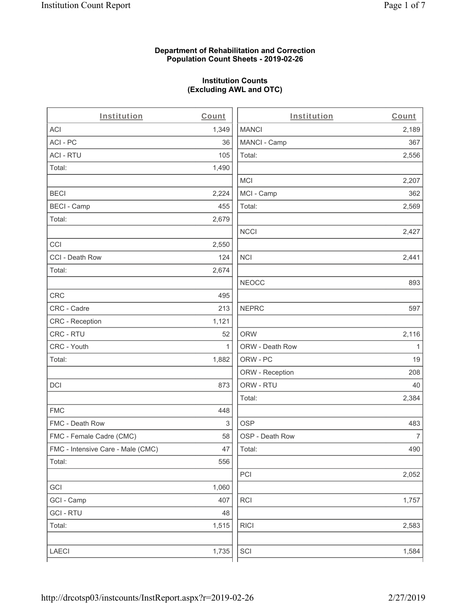#### **Department of Rehabilitation and Correction Population Count Sheets - 2019-02-26**

# **Institution Counts (Excluding AWL and OTC)**

. .

| Institution                       | Count        | Institution     | Count        |
|-----------------------------------|--------------|-----------------|--------------|
| ACI                               | 1,349        | <b>MANCI</b>    | 2,189        |
| ACI - PC                          | 36           | MANCI - Camp    | 367          |
| <b>ACI - RTU</b>                  | 105          | Total:          | 2,556        |
| Total:                            | 1,490        |                 |              |
|                                   |              | <b>MCI</b>      | 2,207        |
| <b>BECI</b>                       | 2,224        | MCI - Camp      | 362          |
| <b>BECI - Camp</b>                | 455          | Total:          | 2,569        |
| Total:                            | 2,679        |                 |              |
|                                   |              | <b>NCCI</b>     | 2,427        |
| CCI                               | 2,550        |                 |              |
| CCI - Death Row                   | 124          | <b>NCI</b>      | 2,441        |
| Total:                            | 2,674        |                 |              |
|                                   |              | <b>NEOCC</b>    | 893          |
| CRC                               | 495          |                 |              |
| CRC - Cadre                       | 213          | <b>NEPRC</b>    | 597          |
| CRC - Reception                   | 1,121        |                 |              |
| CRC - RTU                         | 52           | <b>ORW</b>      | 2,116        |
| CRC - Youth                       | $\mathbf{1}$ | ORW - Death Row | $\mathbf{1}$ |
| Total:                            | 1,882        | ORW - PC        | 19           |
|                                   |              | ORW - Reception | 208          |
| DCI                               | 873          | ORW - RTU       | 40           |
|                                   |              | Total:          | 2,384        |
| <b>FMC</b>                        | 448          |                 |              |
| FMC - Death Row                   | 3            | <b>OSP</b>      | 483          |
| FMC - Female Cadre (CMC)          | 58           | OSP - Death Row | 7            |
| FMC - Intensive Care - Male (CMC) | 47           | Total:          | 490          |
| Total:                            | 556          |                 |              |
|                                   |              | PCI             | 2,052        |
| GCI                               | 1,060        |                 |              |
| GCI - Camp                        | 407          | RCI             | 1,757        |
| <b>GCI - RTU</b>                  | 48           |                 |              |
| Total:                            | 1,515        | <b>RICI</b>     | 2,583        |
|                                   |              |                 |              |
| LAECI                             | 1,735        | SCI             | 1,584        |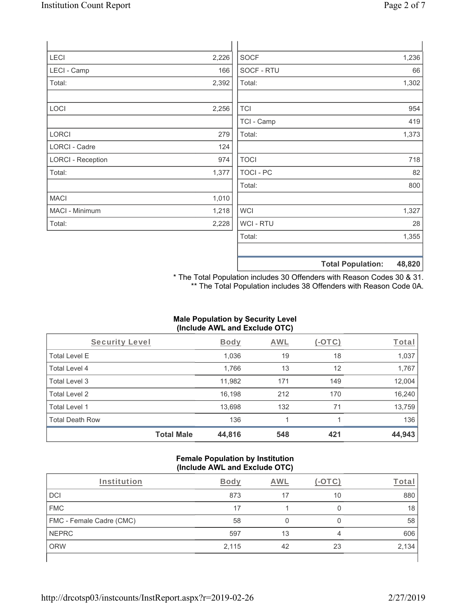| <b>LECI</b>              | 2,226 | <b>SOCF</b>      | 1,236                              |
|--------------------------|-------|------------------|------------------------------------|
| LECI - Camp              | 166   | SOCF - RTU       | 66                                 |
| Total:                   | 2,392 | Total:           | 1,302                              |
|                          |       |                  |                                    |
| LOCI                     | 2,256 | <b>TCI</b>       | 954                                |
|                          |       | TCI - Camp       | 419                                |
| <b>LORCI</b>             | 279   | Total:           | 1,373                              |
| LORCI - Cadre            | 124   |                  |                                    |
| <b>LORCI - Reception</b> | 974   | <b>TOCI</b>      | 718                                |
| Total:                   | 1,377 | <b>TOCI - PC</b> | 82                                 |
|                          |       | Total:           | 800                                |
| <b>MACI</b>              | 1,010 |                  |                                    |
| MACI - Minimum           | 1,218 | <b>WCI</b>       | 1,327                              |
| Total:                   | 2,228 | WCI - RTU        | 28                                 |
|                          |       | Total:           | 1,355                              |
|                          |       |                  |                                    |
|                          |       |                  | <b>Total Population:</b><br>48,820 |

\* The Total Population includes 30 Offenders with Reason Codes 30 & 31. \*\* The Total Population includes 38 Offenders with Reason Code 0A.

# **Male Population by Security Level (Include AWL and Exclude OTC)**

| Security Level         |                   | <b>Body</b> | <b>AWL</b> | (-OTC) | <b>Total</b> |
|------------------------|-------------------|-------------|------------|--------|--------------|
| <b>Total Level E</b>   |                   | 1,036       | 19         | 18     | 1,037        |
| Total Level 4          |                   | 1,766       | 13         | 12     | 1,767        |
| Total Level 3          |                   | 11,982      | 171        | 149    | 12,004       |
| Total Level 2          |                   | 16,198      | 212        | 170    | 16,240       |
| Total Level 1          |                   | 13,698      | 132        | 71     | 13,759       |
| <b>Total Death Row</b> |                   | 136         |            |        | 136          |
|                        | <b>Total Male</b> | 44,816      | 548        | 421    | 44,943       |

#### **Female Population by Institution (Include AWL and Exclude OTC)**

| Institution              | Bodv  | AWL |    | Tota  |
|--------------------------|-------|-----|----|-------|
| DCI                      | 873   | 17  | 10 | 880   |
| <b>FMC</b>               | 17    |     |    | 18    |
| FMC - Female Cadre (CMC) | 58    |     |    | 58    |
| <b>NEPRC</b>             | 597   | 13  | 4  | 606   |
| <b>ORW</b>               | 2,115 | 42  | 23 | 2,134 |
|                          |       |     |    |       |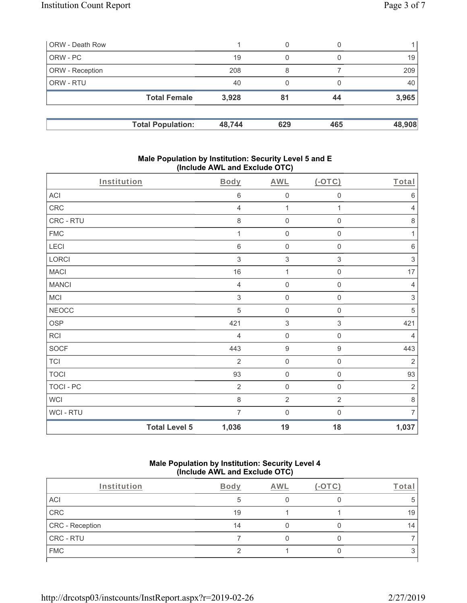| ORW - Death Row |                          |        | 0   | 0   |        |
|-----------------|--------------------------|--------|-----|-----|--------|
| ORW - PC        |                          | 19     | 0   |     | 19     |
| ORW - Reception |                          | 208    | 8   |     | 209    |
| ORW - RTU       |                          | 40     | 0   |     | 40     |
|                 | <b>Total Female</b>      | 3,928  | 81  | 44  | 3,965  |
|                 | <b>Total Population:</b> | 48,744 | 629 | 465 | 48,908 |

#### **Male Population by Institution: Security Level 5 and E (Include AWL and Exclude OTC)**

| Institution      |                      | <b>Body</b>    | <b>AWL</b>                | (OTC)               | Total          |
|------------------|----------------------|----------------|---------------------------|---------------------|----------------|
| ACI              |                      | $\,6$          | $\mathbf 0$               | 0                   | $\,6\,$        |
| CRC              |                      | $\overline{4}$ | $\mathbf{1}$              | 1                   | 4              |
| CRC - RTU        |                      | $\,8\,$        | $\mathbf 0$               | $\mathsf{O}\xspace$ | $\,8\,$        |
| <b>FMC</b>       |                      | 1              | $\mathbf 0$               | 0                   | 1              |
| LECI             |                      | $\,6\,$        | $\mathbf 0$               | $\mathbf 0$         | $6\,$          |
| LORCI            |                      | $\sqrt{3}$     | $\,$ 3 $\,$               | 3                   | $\sqrt{3}$     |
| <b>MACI</b>      |                      | 16             | $\mathbf 1$               | 0                   | 17             |
| <b>MANCI</b>     |                      | $\overline{4}$ | $\mathbf 0$               | $\mathsf{O}\xspace$ | 4              |
| MCI              |                      | $\sqrt{3}$     | $\mathsf{O}\xspace$       | $\mathsf{O}\xspace$ | $\sqrt{3}$     |
| <b>NEOCC</b>     |                      | 5              | $\mathbf 0$               | 0                   | 5              |
| <b>OSP</b>       |                      | 421            | $\ensuremath{\mathsf{3}}$ | $\,$ 3 $\,$         | 421            |
| <b>RCI</b>       |                      | $\overline{4}$ | $\mathbf 0$               | $\mathsf{O}\xspace$ | $\overline{4}$ |
| SOCF             |                      | 443            | $\boldsymbol{9}$          | $\boldsymbol{9}$    | 443            |
| <b>TCI</b>       |                      | $\overline{2}$ | $\mathsf{O}\xspace$       | $\mathsf{O}\xspace$ | $\overline{2}$ |
| <b>TOCI</b>      |                      | 93             | $\mathsf 0$               | $\mathsf{O}\xspace$ | 93             |
| <b>TOCI - PC</b> |                      | $\overline{2}$ | $\mathbf 0$               | $\mathsf{O}\xspace$ | $\sqrt{2}$     |
| WCI              |                      | $\,8\,$        | $\overline{2}$            | $\overline{2}$      | 8              |
| WCI - RTU        |                      | $\overline{7}$ | $\mathbf 0$               | $\mathbf 0$         | $\overline{7}$ |
|                  | <b>Total Level 5</b> | 1,036          | 19                        | 18                  | 1,037          |

#### **Male Population by Institution: Security Level 4 (Include AWL and Exclude OTC)**

| Institution     | Body | AWL | -ota |
|-----------------|------|-----|------|
| ACI             |      |     |      |
| CRC             | 19   |     | 19   |
| CRC - Reception | 14   |     | 14   |
| CRC - RTU       |      |     |      |
| <b>FMC</b>      |      |     |      |
|                 |      |     |      |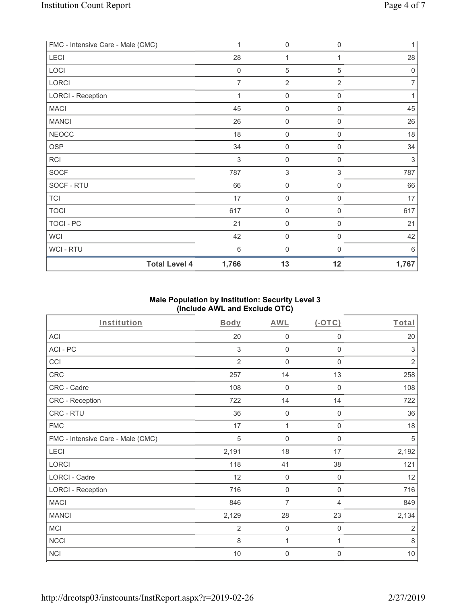| FMC - Intensive Care - Male (CMC) | $\mathbf 1$                   | 0                   | $\mathbf 0$    | 1              |
|-----------------------------------|-------------------------------|---------------------|----------------|----------------|
| LECI                              | 28                            | 1                   |                | 28             |
| LOCI                              | $\mathbf 0$                   | 5                   | $\,$ 5 $\,$    | $\mathbf 0$    |
| LORCI                             | $\overline{7}$                | $\overline{2}$      | $\overline{2}$ | 7              |
| <b>LORCI - Reception</b>          | 1                             | $\boldsymbol{0}$    | $\mathbf 0$    |                |
| <b>MACI</b>                       | 45                            | $\mathsf{O}\xspace$ | $\mathbf 0$    | 45             |
| <b>MANCI</b>                      | 26                            | $\boldsymbol{0}$    | $\mathbf 0$    | 26             |
| <b>NEOCC</b>                      | 18                            | 0                   | $\mathbf 0$    | 18             |
| <b>OSP</b>                        | 34                            | $\boldsymbol{0}$    | $\mathbf 0$    | 34             |
| <b>RCI</b>                        | 3                             | 0                   | $\mathbf 0$    | $\mathfrak{Z}$ |
| <b>SOCF</b>                       | 787                           | 3                   | $\sqrt{3}$     | 787            |
| SOCF - RTU                        | 66                            | $\mathsf{O}\xspace$ | $\mathbf 0$    | 66             |
| <b>TCI</b>                        | 17                            | $\mathsf{O}\xspace$ | $\mathbf 0$    | 17             |
| <b>TOCI</b>                       | 617                           | $\mathsf{O}\xspace$ | $\mathbf 0$    | 617            |
| TOCI-PC                           | 21                            | $\mathsf{O}\xspace$ | $\mathbf 0$    | 21             |
| <b>WCI</b>                        | 42                            | $\mathsf{O}\xspace$ | $\mathbf 0$    | 42             |
| WCI - RTU                         | $6\,$                         | $\boldsymbol{0}$    | $\mathbf 0$    | 6              |
|                                   | <b>Total Level 4</b><br>1,766 | 13                  | 12             | 1,767          |

### **Male Population by Institution: Security Level 3 (Include AWL and Exclude OTC)**

| Institution                       | Body           | <b>AWL</b>          | $($ -OTC $)$        | Total          |
|-----------------------------------|----------------|---------------------|---------------------|----------------|
| <b>ACI</b>                        | 20             | $\mathbf 0$         | $\boldsymbol{0}$    | 20             |
| ACI-PC                            | 3              | $\mathbf 0$         | $\mathbf 0$         | 3              |
| CCI                               | $\overline{2}$ | $\mathbf 0$         | $\mathbf 0$         | $\sqrt{2}$     |
| <b>CRC</b>                        | 257            | 14                  | 13                  | 258            |
| CRC - Cadre                       | 108            | $\mathbf 0$         | $\mathbf 0$         | 108            |
| CRC - Reception                   | 722            | 14                  | 14                  | 722            |
| CRC - RTU                         | 36             | $\mathbf 0$         | $\boldsymbol{0}$    | 36             |
| <b>FMC</b>                        | 17             | 1                   | $\mathsf{O}\xspace$ | 18             |
| FMC - Intensive Care - Male (CMC) | 5              | $\mathbf 0$         | $\mathsf{O}\xspace$ | $\sqrt{5}$     |
| LECI                              | 2,191          | 18                  | 17                  | 2,192          |
| LORCI                             | 118            | 41                  | 38                  | 121            |
| LORCI - Cadre                     | 12             | $\mathsf{O}\xspace$ | 0                   | 12             |
| <b>LORCI - Reception</b>          | 716            | $\mathbf 0$         | $\mathbf 0$         | 716            |
| <b>MACI</b>                       | 846            | 7                   | 4                   | 849            |
| <b>MANCI</b>                      | 2,129          | 28                  | 23                  | 2,134          |
| MCI                               | $\overline{2}$ | $\mathbf 0$         | $\mathsf{O}\xspace$ | $\overline{2}$ |
| <b>NCCI</b>                       | 8              | 1                   | 1                   | 8              |
| <b>NCI</b>                        | $10$           | $\mathbf 0$         | $\overline{0}$      | $10$           |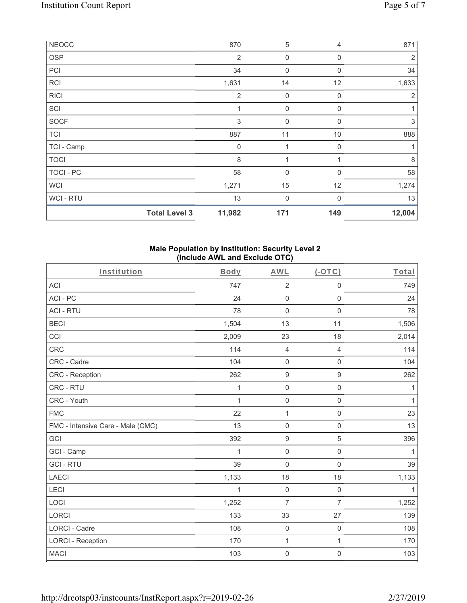| <b>NEOCC</b> |                      | 870            | 5                | $\overline{4}$ | 871            |
|--------------|----------------------|----------------|------------------|----------------|----------------|
| <b>OSP</b>   |                      | $\overline{2}$ | 0                | $\Omega$       | 2              |
| PCI          |                      | 34             | $\boldsymbol{0}$ | $\mathbf 0$    | 34             |
| <b>RCI</b>   |                      | 1,631          | 14               | 12             | 1,633          |
| <b>RICI</b>  |                      | $\overline{2}$ | $\boldsymbol{0}$ | $\mathbf 0$    | $\overline{2}$ |
| SCI          |                      | 1              | $\boldsymbol{0}$ | $\mathbf 0$    | 1              |
| <b>SOCF</b>  |                      | 3              | 0                | $\Omega$       | 3              |
| <b>TCI</b>   |                      | 887            | 11               | 10             | 888            |
| TCI - Camp   |                      | 0              | 1                | $\mathbf 0$    | 1              |
| <b>TOCI</b>  |                      | 8              |                  |                | 8              |
| TOCI - PC    |                      | 58             | 0                | $\Omega$       | 58             |
| <b>WCI</b>   |                      | 1,271          | 15               | 12             | 1,274          |
| WCI - RTU    |                      | 13             | $\boldsymbol{0}$ | $\Omega$       | 13             |
|              | <b>Total Level 3</b> | 11,982         | 171              | 149            | 12,004         |

### **Male Population by Institution: Security Level 2 (Include AWL and Exclude OTC)**

| Institution                       | <b>Body</b>  | <b>AWL</b>          | $($ -OTC $)$        | Total        |
|-----------------------------------|--------------|---------------------|---------------------|--------------|
| ACI                               | 747          | $\sqrt{2}$          | $\mathsf 0$         | 749          |
| ACI-PC                            | 24           | $\mathsf{O}\xspace$ | $\mathbf 0$         | 24           |
| <b>ACI - RTU</b>                  | 78           | $\mathsf{O}\xspace$ | $\mathsf{O}\xspace$ | 78           |
| <b>BECI</b>                       | 1,504        | 13                  | 11                  | 1,506        |
| CCI                               | 2,009        | 23                  | 18                  | 2,014        |
| CRC                               | 114          | $\overline{4}$      | $\overline{4}$      | 114          |
| CRC - Cadre                       | 104          | $\mathbf 0$         | $\mathbf 0$         | 104          |
| <b>CRC</b> - Reception            | 262          | $\boldsymbol{9}$    | $\boldsymbol{9}$    | 262          |
| CRC - RTU                         | 1            | $\mathsf{O}\xspace$ | 0                   | 1            |
| CRC - Youth                       | $\mathbf{1}$ | $\mathsf{O}\xspace$ | 0                   | $\mathbf{1}$ |
| <b>FMC</b>                        | 22           | $\mathbf{1}$        | $\mathsf{O}\xspace$ | 23           |
| FMC - Intensive Care - Male (CMC) | 13           | $\mathsf{O}\xspace$ | 0                   | 13           |
| GCI                               | 392          | $\boldsymbol{9}$    | 5                   | 396          |
| GCI - Camp                        | 1            | $\mathsf{O}\xspace$ | 0                   | $\mathbf{1}$ |
| <b>GCI-RTU</b>                    | 39           | $\mathbf 0$         | $\mathbf 0$         | 39           |
| <b>LAECI</b>                      | 1,133        | 18                  | 18                  | 1,133        |
| LECI                              | 1            | $\mathsf{O}\xspace$ | $\mathsf{O}\xspace$ | 1            |
| LOCI                              | 1,252        | $\overline{7}$      | $\overline{7}$      | 1,252        |
| LORCI                             | 133          | 33                  | 27                  | 139          |
| LORCI - Cadre                     | 108          | $\mathbf 0$         | $\mathbf 0$         | 108          |
| <b>LORCI - Reception</b>          | 170          | 1                   | $\mathbf{1}$        | 170          |
| <b>MACI</b>                       | 103          | $\mathsf{O}\xspace$ | $\mathsf 0$         | 103          |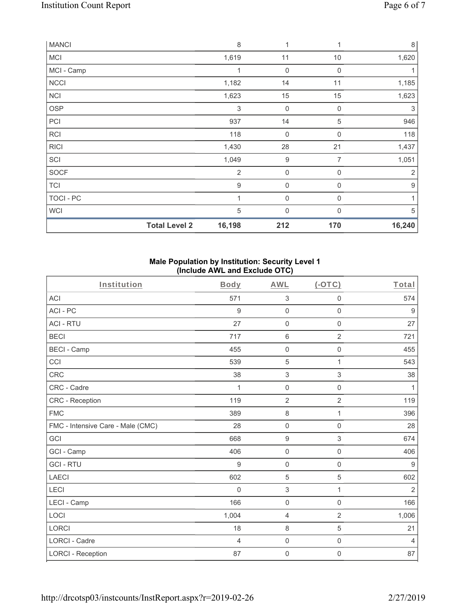| <b>MANCI</b> |                      | 8              | 1                | 1                | $\,8\,$          |
|--------------|----------------------|----------------|------------------|------------------|------------------|
| <b>MCI</b>   |                      | 1,619          | 11               | $10$             | 1,620            |
| MCI - Camp   |                      | 1              | $\mathbf 0$      | 0                | 1                |
| <b>NCCI</b>  |                      | 1,182          | 14               | 11               | 1,185            |
| <b>NCI</b>   |                      | 1,623          | 15               | 15               | 1,623            |
| OSP          |                      | 3              | $\mathbf 0$      | $\mathbf 0$      | 3                |
| PCI          |                      | 937            | 14               | 5                | 946              |
| <b>RCI</b>   |                      | 118            | $\mathbf 0$      | 0                | 118              |
| <b>RICI</b>  |                      | 1,430          | 28               | 21               | 1,437            |
| SCI          |                      | 1,049          | $\boldsymbol{9}$ | 7                | 1,051            |
| SOCF         |                      | $\overline{2}$ | $\mathbf 0$      | $\boldsymbol{0}$ | $\sqrt{2}$       |
| <b>TCI</b>   |                      | $9$            | $\mathbf 0$      | 0                | $\boldsymbol{9}$ |
| TOCI - PC    |                      | 1              | $\mathbf 0$      | 0                | 1                |
| <b>WCI</b>   |                      | $\sqrt{5}$     | $\mathbf 0$      | $\mathbf 0$      | 5                |
|              | <b>Total Level 2</b> | 16,198         | 212              | 170              | 16,240           |

#### **Male Population by Institution: Security Level 1 (Include AWL and Exclude OTC)**

| Institution                       | Body           | <b>AWL</b>          | (OTC)               | Total          |
|-----------------------------------|----------------|---------------------|---------------------|----------------|
| <b>ACI</b>                        | 571            | $\sqrt{3}$          | $\mathsf{O}\xspace$ | 574            |
| ACI-PC                            | 9              | $\mathbf 0$         | $\mathbf 0$         | 9              |
| <b>ACI - RTU</b>                  | 27             | $\mathsf{O}\xspace$ | $\mathbf 0$         | 27             |
| <b>BECI</b>                       | 717            | $\,6\,$             | $\overline{2}$      | 721            |
| <b>BECI - Camp</b>                | 455            | $\mathsf{O}\xspace$ | $\mathsf{O}\xspace$ | 455            |
| CCI                               | 539            | 5                   | $\mathbf{1}$        | 543            |
| CRC                               | 38             | $\sqrt{3}$          | $\,$ 3 $\,$         | 38             |
| CRC - Cadre                       | 1              | $\mathsf{O}\xspace$ | $\mathsf{O}\xspace$ | 1              |
| CRC - Reception                   | 119            | $\overline{2}$      | $\overline{2}$      | 119            |
| <b>FMC</b>                        | 389            | $\,8\,$             | 1                   | 396            |
| FMC - Intensive Care - Male (CMC) | 28             | $\mathsf{O}\xspace$ | $\mathsf 0$         | 28             |
| GCI                               | 668            | $\boldsymbol{9}$    | $\mathfrak{S}$      | 674            |
| GCI - Camp                        | 406            | $\mathsf 0$         | $\boldsymbol{0}$    | 406            |
| <b>GCI-RTU</b>                    | 9              | $\mathbf 0$         | $\mathsf{O}\xspace$ | $9$            |
| <b>LAECI</b>                      | 602            | $\,$ 5 $\,$         | 5                   | 602            |
| LECI                              | $\Omega$       | 3                   | 1                   | $\overline{2}$ |
| LECI - Camp                       | 166            | $\mathbf 0$         | $\mathsf 0$         | 166            |
| LOCI                              | 1,004          | 4                   | $\overline{2}$      | 1,006          |
| <b>LORCI</b>                      | 18             | $\,8\,$             | 5                   | 21             |
| <b>LORCI - Cadre</b>              | $\overline{4}$ | $\mathsf{O}\xspace$ | $\mathsf 0$         | $\overline{4}$ |
| <b>LORCI - Reception</b>          | 87             | $\mathsf{O}\xspace$ | $\boldsymbol{0}$    | 87             |